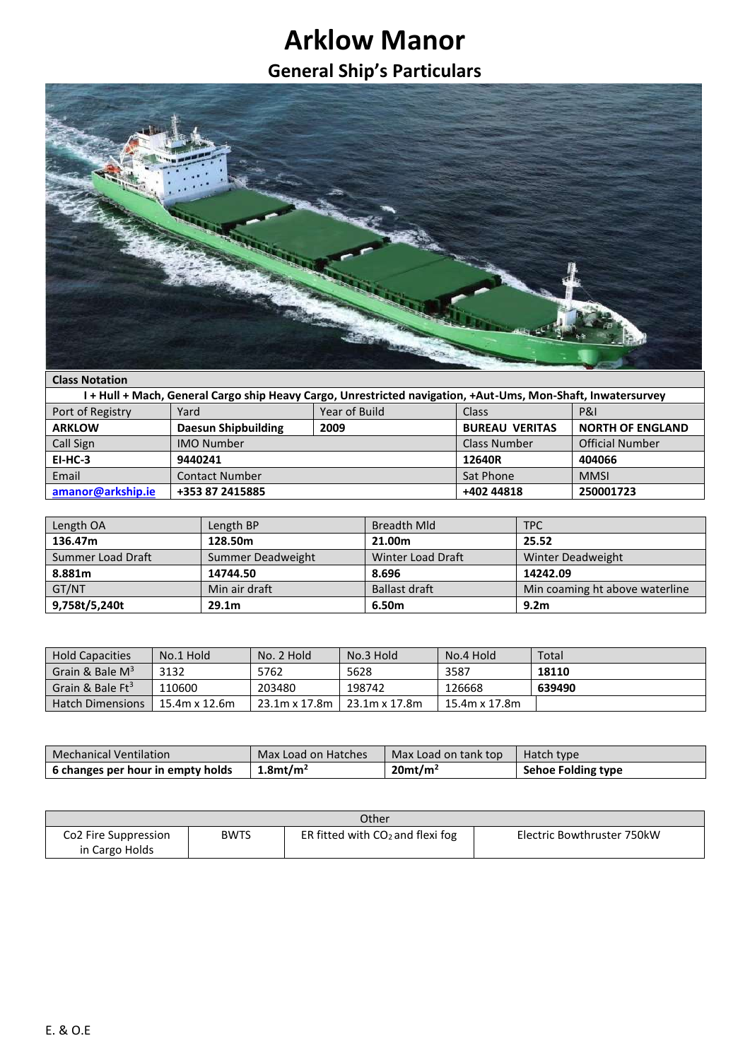## **Arklow Manor**

## **General Ship's Particulars**



## **Class Notation**

| l + Hull + Mach, General Cargo ship Heavy Cargo, Unrestricted navigation, +Aut-Ums, Mon-Shaft, Inwatersurvey |                            |               |                       |                         |
|--------------------------------------------------------------------------------------------------------------|----------------------------|---------------|-----------------------|-------------------------|
| Port of Registry                                                                                             | Yard                       | Year of Build | Class                 | <b>P&amp;I</b>          |
| <b>ARKLOW</b>                                                                                                | <b>Daesun Shipbuilding</b> | 2009          | <b>BUREAU VERITAS</b> | <b>NORTH OF ENGLAND</b> |
| Call Sign                                                                                                    | <b>IMO Number</b>          |               | Class Number          | <b>Official Number</b>  |
| $EI-HC-3$                                                                                                    | 9440241                    |               | 12640R                | 404066                  |
| Email                                                                                                        | <b>Contact Number</b>      |               | Sat Phone             | <b>MMSI</b>             |
| amanor@arkship.ie                                                                                            | +353 87 2415885            |               | +402 44818            | 250001723               |

| Length OA         | Length BP         | <b>Breadth Mld</b>   | <b>TPC</b>                     |
|-------------------|-------------------|----------------------|--------------------------------|
| 136.47m           | 128.50m           | 21.00m               | 25.52                          |
| Summer Load Draft | Summer Deadweight | Winter Load Draft    | Winter Deadweight              |
| 8.881m            | 14744.50          | 8.696                | 14242.09                       |
| GT/NT             | Min air draft     | <b>Ballast draft</b> | Min coaming ht above waterline |
| 9,758t/5,240t     | 29.1 <sub>m</sub> | 6.50m                | 9.2 <sub>m</sub>               |

| <b>Hold Capacities</b>              | No.1 Hold        | No. 2 Hold    | No.3 Hold     | No.4 Hold     | Total  |
|-------------------------------------|------------------|---------------|---------------|---------------|--------|
| Grain & Bale $M^3$                  | 3132             | 5762          | 5628          | 3587          | 18110  |
| $\mid$ Grain & Bale Ft <sup>3</sup> | 110600           | 203480        | 198742        | 126668        | 639490 |
| <b>Hatch Dimensions</b>             | $15.4$ m x 12.6m | 23.1m x 17.8m | 23.1m x 17.8m | 15.4m x 17.8m |        |

| <b>Mechanical Ventilation</b>     | Max Load on Hatches     | Max Load on tank top   | Hatch type                |
|-----------------------------------|-------------------------|------------------------|---------------------------|
| 6 changes per hour in empty holds | $1.8$ mt/m <sup>2</sup> | $20$ mt/m <sup>2</sup> | <b>Sehoe Folding type</b> |

| Other                            |             |                                    |                            |  |
|----------------------------------|-------------|------------------------------------|----------------------------|--|
| Co <sub>2</sub> Fire Suppression | <b>BWTS</b> | ER fitted with $CO2$ and flexi fog | Electric Bowthruster 750kW |  |
| in Cargo Holds                   |             |                                    |                            |  |